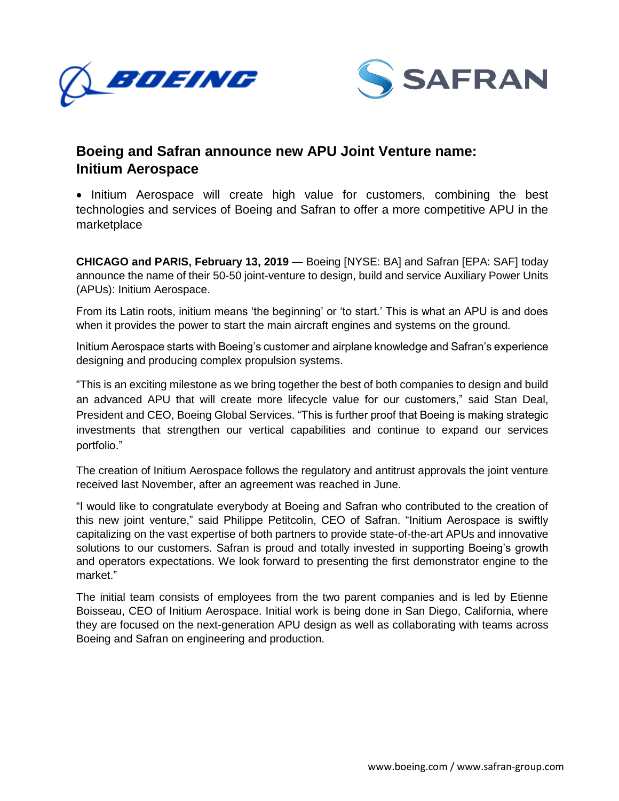



## **Boeing and Safran announce new APU Joint Venture name: Initium Aerospace**

• Initium Aerospace will create high value for customers, combining the best technologies and services of Boeing and Safran to offer a more competitive APU in the marketplace

**CHICAGO and PARIS, February 13, 2019** — Boeing [NYSE: BA] and Safran [EPA: SAF] today announce the name of their 50-50 joint-venture to design, build and service Auxiliary Power Units (APUs): Initium Aerospace.

From its Latin roots, initium means 'the beginning' or 'to start.' This is what an APU is and does when it provides the power to start the main aircraft engines and systems on the ground.

Initium Aerospace starts with Boeing's customer and airplane knowledge and Safran's experience designing and producing complex propulsion systems.

"This is an exciting milestone as we bring together the best of both companies to design and build an advanced APU that will create more lifecycle value for our customers," said Stan Deal, President and CEO, Boeing Global Services. "This is further proof that Boeing is making strategic investments that strengthen our vertical capabilities and continue to expand our services portfolio."

The creation of Initium Aerospace follows the regulatory and antitrust approvals the joint venture received last November, after an agreement was reached in June.

"I would like to congratulate everybody at Boeing and Safran who contributed to the creation of this new joint venture," said Philippe Petitcolin, CEO of Safran. "Initium Aerospace is swiftly capitalizing on the vast expertise of both partners to provide state-of-the-art APUs and innovative solutions to our customers. Safran is proud and totally invested in supporting Boeing's growth and operators expectations. We look forward to presenting the first demonstrator engine to the market."

The initial team consists of employees from the two parent companies and is led by Etienne Boisseau, CEO of Initium Aerospace. Initial work is being done in San Diego, California, where they are focused on the next-generation APU design as well as collaborating with teams across Boeing and Safran on engineering and production.